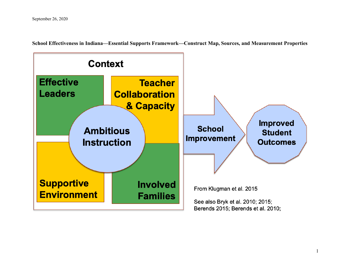**School Effectiveness in Indiana—Essential Supports Framework—Construct Map, Sources, and Measurement Properties**

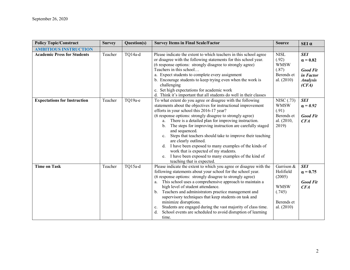| <b>Policy Topic/Construct</b>       | <b>Survey</b> | Question(s) | <b>Survey Items in Final Scale/Factor</b>                                                                                                                                                                                                                                                                                                                                                                                                                                                                                                                                                                                                                                                                 | <b>Source</b>                                                                            | $SEI$ $\alpha$                                                                            |
|-------------------------------------|---------------|-------------|-----------------------------------------------------------------------------------------------------------------------------------------------------------------------------------------------------------------------------------------------------------------------------------------------------------------------------------------------------------------------------------------------------------------------------------------------------------------------------------------------------------------------------------------------------------------------------------------------------------------------------------------------------------------------------------------------------------|------------------------------------------------------------------------------------------|-------------------------------------------------------------------------------------------|
| <b>AMBITIOUS INSTRUCTION</b>        |               |             |                                                                                                                                                                                                                                                                                                                                                                                                                                                                                                                                                                                                                                                                                                           |                                                                                          |                                                                                           |
| <b>Academic Press for Students</b>  | Teacher       | TQ14a-d     | Please indicate the extent to which teachers in this school agree<br>or disagree with the following statements for this school year.<br>(6 response options: strongly disagree to strongly agree)<br>Teachers in this school<br>a. Expect students to complete every assignment<br>b. Encourage students to keep trying even when the work is<br>challenging<br>c. Set high expectations for academic work<br>d. Think it's important that all students do well in their classes                                                                                                                                                                                                                          | <b>NISL</b><br>(.92)<br><b>WMSW</b><br>(.87)<br>Berends et<br>al. $(2010)$               | <b>SEI</b><br>$\alpha = 0.82$<br><b>Good Fit</b><br>in Factor<br><b>Analysis</b><br>(CFA) |
| <b>Expectations for Instruction</b> | Teacher       | TQ19a-e     | To what extent do you agree or disagree with the following<br>statements about the objectives for instructional improvement<br>efforts in your school this 2016-17 year?<br>(6 response options: strongly disagree to strongly agree)<br>a. There is a detailed plan for improving instruction.<br>The steps for improving instruction are carefully staged<br>b <sub>1</sub><br>and sequenced.<br>Steps that teachers should take to improve their teaching<br>$\mathbf{c}$ .<br>are clearly outlined.<br>I have been exposed to many examples of the kinds of<br>d.<br>work that is expected of my students.<br>I have been exposed to many examples of the kind of<br>e.<br>teaching that is expected. | NISC (.73)<br><b>WMSW</b><br>(.91)<br>Berends et<br>al. (2010,<br>2019)                  | <b>SEI</b><br>$\alpha = 0.92$<br><b>Good Fit</b><br>CFA                                   |
| <b>Time on Task</b>                 | Teacher       | TQ15a-d     | Please indicate the extent to which you agree or disagree with the<br>following statements about your school for the school year.<br>(6 response options: strongly disagree to strongly agree)<br>This school uses a comprehensive approach to maintain a<br>a.<br>high level of student attendance.<br>Teachers and administrators practice management and<br>$b_{\cdot}$<br>supervisory techniques that keep students on task and<br>minimize disruptions.<br>Students are engaged during the vast majority of class time.<br>c.<br>School events are scheduled to avoid disruption of learning<br>d.<br>time.                                                                                          | Garrison &<br>Holifield<br>(2005)<br><b>WMSW</b><br>(.745)<br>Berends et<br>al. $(2010)$ | <b>SEI</b><br>$\alpha = 0.75$<br><b>Good Fit</b><br>CFA                                   |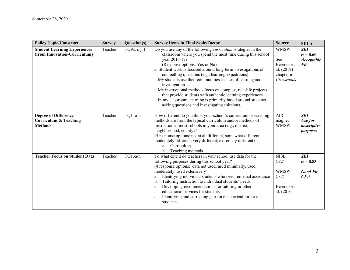| <b>Policy Topic/Construct</b>                                               | <b>Survey</b> | Question(s)   | <b>Survey Items in Final Scale/Factor</b>                                                                                                                                                                                                                                                                                                                                                                                                                                                                                                                                                                                                           | <b>Source</b>                                                              | $SEI$ $\alpha$                                                   |
|-----------------------------------------------------------------------------|---------------|---------------|-----------------------------------------------------------------------------------------------------------------------------------------------------------------------------------------------------------------------------------------------------------------------------------------------------------------------------------------------------------------------------------------------------------------------------------------------------------------------------------------------------------------------------------------------------------------------------------------------------------------------------------------------------|----------------------------------------------------------------------------|------------------------------------------------------------------|
| <b>Student Learning Experiences</b><br>(from Innovation-Curriculum)         | Teacher       | TQ9a, i, j, l | Do you use any of the following <i>curriculum</i> strategies in the<br>classroom where you spend the most time during this school<br>year 2016-17?<br>(Response options: Yes or No)<br>a. Student work is focused around long-term investigations of<br>compelling questions (e.g., learning expeditions).<br>i. My students use their communities as sites of learning and<br>investigation.<br>j. My instructional methods focus on complex, real-life projects<br>that provide students with authentic learning experiences.<br>1. In my classroom, learning is primarily based around students<br>asking questions and investigating solutions. | <b>WMSW</b><br>See<br>Berends et<br>al. (2019)<br>chapter in<br>Crossroads | <b>SEI</b><br>$\alpha = 0.60$<br><b>Acceptable</b><br><b>Fit</b> |
| Degree of Difference-<br><b>Curriculum &amp; Teaching</b><br><b>Methods</b> | Teacher       | TQ11a-b       | How different do you think your school's curriculum or teaching<br>methods are from the typical curriculum and/or methods of<br>instruction at most schools in your area (e.g., district,<br>neighborhood, county)?<br>(5 response options: not at all different, somewhat different,<br>moderately different, very different, extremely different)<br>a. Curriculum<br>Teaching methods<br>$\mathbf{b}$ .                                                                                                                                                                                                                                          | <b>AIR</b><br>magnet<br><b>WMSW</b>                                        | <b>SEI</b><br>Use for<br>descriptive<br>purposes                 |
| <b>Teacher Focus on Student Data</b>                                        | Teacher       | TQ13a-h       | To what extent do teachers in your school use data for the<br>following purposes during this school year?<br>(4 response options: data not used, used minimally, used<br>moderately, used extensively)<br>Identifying individual students who need remedial assistance<br>a.<br>Tailoring instruction to individual students' needs<br>b.<br>Developing recommendations for tutoring or other<br>c.<br>educational services for students<br>Identifying and correcting gaps in the curriculum for all<br>$d_{\cdot}$<br>students                                                                                                                    | <b>NISL</b><br>(.92)<br><b>WMSW</b><br>(.87)<br>Berends et<br>al. (2010)   | <b>SEI</b><br>$\alpha = 0.83$<br><b>Good Fit</b><br>CFA          |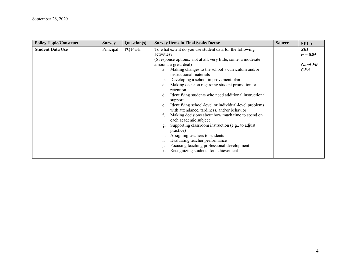| <b>Policy Topic/Construct</b> | <b>Survey</b> | Question(s) | <b>Survey Items in Final Scale/Factor</b>                                                                                                                                                                                                                                                                                                                                                                                                                                                                                                                                                                                                                                                                                                                                    | <b>Source</b> | $SEI \alpha$                                            |
|-------------------------------|---------------|-------------|------------------------------------------------------------------------------------------------------------------------------------------------------------------------------------------------------------------------------------------------------------------------------------------------------------------------------------------------------------------------------------------------------------------------------------------------------------------------------------------------------------------------------------------------------------------------------------------------------------------------------------------------------------------------------------------------------------------------------------------------------------------------------|---------------|---------------------------------------------------------|
| <b>Student Data Use</b>       | Principal     | $PQ14a-k$   | To what extent do you use student data for the following<br>activities?<br>(5 response options: not at all, very little, some, a moderate<br>amount, a great deal)<br>Making changes to the school's curriculum and/or<br>a.<br>instructional materials<br>Developing a school improvement plan<br>b.<br>Making decision regarding student promotion or<br>$\mathbf{c}$ .<br>retention<br>Identifying students who need additional instructional<br>d.<br>support<br>Identifying school-level or individual-level problems<br>e.<br>with attendance, tardiness, and/or behavior<br>Making decisions about how much time to spend on<br>each academic subject<br>Supporting classroom instruction (e.g., to adjust<br>g.<br>practice)<br>Assigning teachers to students<br>h. |               | <b>SEI</b><br>$\alpha = 0.85$<br><b>Good Fit</b><br>CFA |
|                               |               |             | Evaluating teacher performance<br>Focusing teaching professional development<br>Recognizing students for achievement<br>k.                                                                                                                                                                                                                                                                                                                                                                                                                                                                                                                                                                                                                                                   |               |                                                         |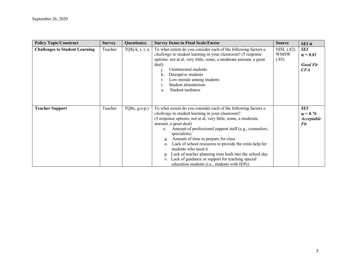| <b>Policy Topic/Construct</b>         | <b>Survey</b> | Question(s)        | <b>Survey Items in Final Scale/Factor</b>                                                                                                                                                                                                                                                                                                                                                                                                                                                                                                                                                                                                        | <b>Source</b>                      | $SEI$ $\alpha$                                                          |
|---------------------------------------|---------------|--------------------|--------------------------------------------------------------------------------------------------------------------------------------------------------------------------------------------------------------------------------------------------------------------------------------------------------------------------------------------------------------------------------------------------------------------------------------------------------------------------------------------------------------------------------------------------------------------------------------------------------------------------------------------------|------------------------------------|-------------------------------------------------------------------------|
| <b>Challenges to Student Learning</b> | Teacher       | $TQ8$ j-k, r, t, u | To what extent do you consider each of the following factors a<br><i>challenge</i> to student learning in your classroom? (5 response<br>options: not at al, very little, some, a moderate amount, a great<br>deal)<br>Uninterested students<br>Disruptive students<br>Low morale among students<br>Student absenteeism<br>Student tardiness<br>u.                                                                                                                                                                                                                                                                                               | NISL (.82)<br><b>WMSW</b><br>(.85) | <b>SEI</b><br>$\alpha = 0.81$<br><b>Good Fit</b><br>CFA                 |
| <b>Teacher Support</b>                | Teacher       | TQ8e, $g_{0}$ -p,v | To what extent do you consider each of the following factors a<br><i>challenge</i> to student learning in your classroom?<br>(5 response options: not at al, very little, some, a moderate<br>amount, a great deal)<br>Amount of professional support staff (e.g., counselors,<br>$e_{\cdot}$<br>specialists)<br>Amount of time to prepare for class<br>g.<br>Lack of school resources to provide the extra help for<br>$\mathbf{O}$ .<br>students who need it<br>Lack of teacher planning time built into the school day<br>D <sub>1</sub><br>Lack of guidance or support for teaching special<br>education students (i.e., students with IEPs) |                                    | <b>SEI</b><br>$\alpha = 0.76$<br><i><b>Acceptable</b></i><br><b>Fit</b> |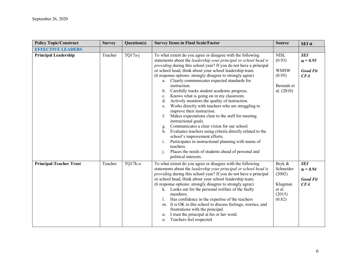| <b>Policy Topic/Construct</b>  | <b>Survey</b> | Question(s) | <b>Survey Items in Final Scale/Factor</b>                                                                                                                                                                                                                                                                                                                                                                                                                                                                                                                                                                                                                                                                                                                                                                                                                                                                                                                                                                                                                           | <b>Source</b>                                                                | $SEI$ $\alpha$                                          |
|--------------------------------|---------------|-------------|---------------------------------------------------------------------------------------------------------------------------------------------------------------------------------------------------------------------------------------------------------------------------------------------------------------------------------------------------------------------------------------------------------------------------------------------------------------------------------------------------------------------------------------------------------------------------------------------------------------------------------------------------------------------------------------------------------------------------------------------------------------------------------------------------------------------------------------------------------------------------------------------------------------------------------------------------------------------------------------------------------------------------------------------------------------------|------------------------------------------------------------------------------|---------------------------------------------------------|
| <b>EFFECTIVE LEADERS</b>       |               |             |                                                                                                                                                                                                                                                                                                                                                                                                                                                                                                                                                                                                                                                                                                                                                                                                                                                                                                                                                                                                                                                                     |                                                                              |                                                         |
| <b>Principal Leadership</b>    | Teacher       | $TQ17a-i$   | To what extent do you agree or disagree with the following<br>statements about the leadership your principal or school head is<br>providing during this school year? If you do not have a principal<br>or school head, think about your school leadership team.<br>(6 response options: strongly disagree to strongly agree)<br>a. Clearly communicates expected standards for<br>instruction.<br>Carefully tracks student academic progress.<br>b.<br>Knows what is going on in my classroom.<br>c.<br>Actively monitors the quality of instruction.<br>d.<br>Works directly with teachers who are struggling to<br>e.<br>improve their instruction.<br>Makes expectations clear to the staff for meeting<br>instructional goals.<br>Communicates a clear vision for our school.<br>g.<br>h. Evaluates teachers using criteria directly related to the<br>school's improvement efforts.<br>Participates in instructional planning with teams of<br>i.<br>teachers.<br>Places the needs of students ahead of personal and<br>$\mathbf{1}$ .<br>political interests. | <b>NISL</b><br>(0.93)<br><b>WMSW</b><br>(0.95)<br>Berends et<br>al. $(2010)$ | <b>SEI</b><br>$\alpha = 0.95$<br><b>Good Fit</b><br>CFA |
| <b>Principal-Teacher Trust</b> | Teacher       | TQ17k-o     | To what extent do you agree or disagree with the following<br>statements about the leadership your principal or school head is<br>providing during this school year? If you do not have a principal<br>or school head, think about your school leadership team.<br>(6 response options: strongly disagree to strongly agree)<br>k. Looks out for the personal welfare of the faulty<br>members.<br>Has confidence in the expertise of the teachers<br>m. It is OK in this school to discuss feelings, worries, and<br>frustrations with the principal.<br>I trust the principal at his or her word.<br>n.<br>Teachers feel respected<br>$\mathbf{O}$ .                                                                                                                                                                                                                                                                                                                                                                                                              | Bryk &<br>Schneider<br>(2002)<br>Klugman<br>et al.<br>(2015)<br>(0.82)       | <b>SEI</b><br>$\alpha = 0.94$<br><b>Good Fit</b><br>CFA |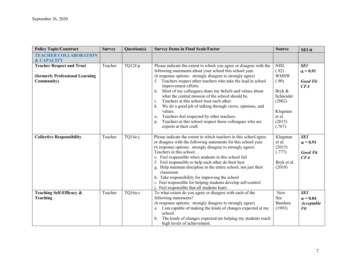| <b>Policy Topic/Construct</b>    | <b>Survey</b> | Question(s) | <b>Survey Items in Final Scale/Factor</b>                                                                                            | <b>Source</b>     | $SEI$ $\alpha$    |
|----------------------------------|---------------|-------------|--------------------------------------------------------------------------------------------------------------------------------------|-------------------|-------------------|
| <b>TEACHER COLLABORATION</b>     |               |             |                                                                                                                                      |                   |                   |
| <b>&amp; CAPACITY</b>            |               |             |                                                                                                                                      | <b>NISL</b>       | <b>SEI</b>        |
| <b>Teacher Respect and Trust</b> | Teacher       | TQ12f-p     | Please indicate the extent to which you agree or disagree with the<br>following statements about your school this school year.       | (.92)             |                   |
| (formerly Professional Learning  |               |             | (6 response options: strongly disagree to strongly agree)                                                                            | <b>WMSW</b>       | $\alpha = 0.91$   |
| <b>Community</b> )               |               |             | Teachers respect other teachers who take the lead in school                                                                          | (.90)             | <b>Good Fit</b>   |
|                                  |               |             | improvement efforts.                                                                                                                 |                   | CFA               |
|                                  |               |             | h. Most of my colleagues share my beliefs and values about                                                                           | Bryk $\&$         |                   |
|                                  |               |             | what the central mission of the school should be.                                                                                    | Schneider         |                   |
|                                  |               |             | Teachers at this school trust each other.<br>$\mathbf{1}$ .                                                                          | (2002)            |                   |
|                                  |               |             | We do a good job of talking through views, opinions, and<br>k.                                                                       |                   |                   |
|                                  |               |             | values.                                                                                                                              | Klugman           |                   |
|                                  |               |             | Teachers feel respected by other teachers.<br>0.                                                                                     | et al.            |                   |
|                                  |               |             | Teachers at this school respect those colleagues who are<br>D.                                                                       | (2015)            |                   |
|                                  |               |             | experts at their craft.                                                                                                              | (.767)            |                   |
|                                  |               |             |                                                                                                                                      |                   | <b>SEI</b>        |
| <b>Collective Responsibility</b> | Teacher       | $TQ14e-i$   | Please indicate the extent to which teachers in this school agree<br>or disagree with the following statements for this school year. | Klugman<br>et al. | $\alpha = 0.91$   |
|                                  |               |             | (6 response options: strongly disagree to strongly agree)                                                                            | (2015)            |                   |
|                                  |               |             | Teachers in this school                                                                                                              | (.777)            | <b>Good Fit</b>   |
|                                  |               |             | e. Feel responsible when students in this school fail                                                                                |                   | CFA               |
|                                  |               |             | f. Feel responsible to help each other do their best                                                                                 | Bryk et al.       |                   |
|                                  |               |             | g. Help maintain discipline in the entire school, not just their<br>classroom                                                        | (2010)            |                   |
|                                  |               |             | h. Take responsibility for improving the school                                                                                      |                   |                   |
|                                  |               |             | i. Feel responsible for helping students develop self-control                                                                        |                   |                   |
|                                  |               |             | <i>i.</i> Feel responsible that all students learn                                                                                   |                   |                   |
| Teaching Self-Efficacy &         | Teacher       | TQ16a-c     | To what extent do you agree or disagree with each of the                                                                             | New               | <b>SEI</b>        |
| Teaching                         |               |             | following statements?                                                                                                                | <b>See</b>        | $\alpha = 0.84$   |
|                                  |               |             | (6 response options: strongly disagree to strongly agree)                                                                            | Bandura           | <b>Acceptable</b> |
|                                  |               |             | a. I am capable of making the kinds of changes expected at my                                                                        | (1993)            | Fit               |
|                                  |               |             | school.                                                                                                                              |                   |                   |
|                                  |               |             | The kinds of changes expected are helping my students reach<br>high levels of achievement.                                           |                   |                   |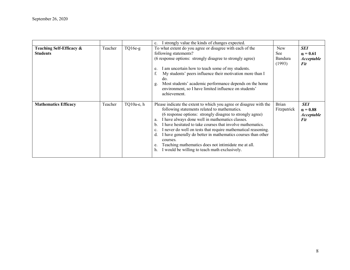|                                             |         |            | I strongly value the kinds of changes expected.<br>c.                                                                                                                                                                                                                                                                                                                                                                                                                                                                                                                                                 |                                        |                                                                  |
|---------------------------------------------|---------|------------|-------------------------------------------------------------------------------------------------------------------------------------------------------------------------------------------------------------------------------------------------------------------------------------------------------------------------------------------------------------------------------------------------------------------------------------------------------------------------------------------------------------------------------------------------------------------------------------------------------|----------------------------------------|------------------------------------------------------------------|
| Teaching Self-Efficacy &<br><b>Students</b> | Teacher | $TQ16e-g$  | To what extent do you agree or disagree with each of the<br>following statements?<br>(6 response options: strongly disagree to strongly agree)<br>I am uncertain how to teach some of my students.<br>e.<br>My students' peers influence their motivation more than I<br>f.<br>do.<br>Most students' academic performance depends on the home<br>g.<br>environment, so I have limited influence on students'<br>achievement.                                                                                                                                                                          | <b>New</b><br>See<br>Bandura<br>(1993) | <b>SEI</b><br>$\alpha = 0.61$<br><b>Acceptable</b><br>Fit        |
| <b>Mathematics Efficacy</b>                 | Teacher | TQ10a-e, h | Please indicate the extent to which you agree or disagree with the<br>following statements related to mathematics.<br>(6 response options: strongly disagree to strongly agree)<br>I have always done well in mathematics classes.<br>a.<br>I have hesitated to take courses that involve mathematics.<br>$\mathbf{b}$ .<br>I never do well on tests that require mathematical reasoning.<br>c.<br>I have generally do better in mathematics courses than other<br>d.<br>courses.<br>Teaching mathematics does not intimidate me at all.<br>e.<br>I would be willing to teach math exclusively.<br>h. | <b>Brian</b><br>Fitzpatrick            | <b>SEI</b><br>$\alpha = 0.88$<br><i><b>Acceptable</b></i><br>Fit |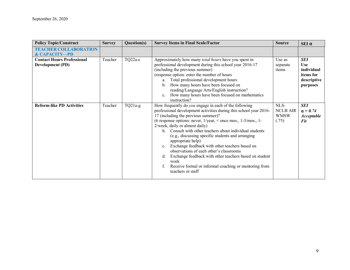| <b>Policy Topic/Construct</b>                                | <b>Survey</b> | Question(s) | <b>Survey Items in Final Scale/Factor</b>                                                                                                                                                                                                                                                                                                                                                                                                                                                                                                                                                                                                                                                                                   | <b>Source</b>                                   | $SEI$ $\alpha$                                                          |
|--------------------------------------------------------------|---------------|-------------|-----------------------------------------------------------------------------------------------------------------------------------------------------------------------------------------------------------------------------------------------------------------------------------------------------------------------------------------------------------------------------------------------------------------------------------------------------------------------------------------------------------------------------------------------------------------------------------------------------------------------------------------------------------------------------------------------------------------------------|-------------------------------------------------|-------------------------------------------------------------------------|
| <b>TEACHER COLLABORATION</b><br><b>&amp; CAPACITY-PD</b>     |               |             |                                                                                                                                                                                                                                                                                                                                                                                                                                                                                                                                                                                                                                                                                                                             |                                                 |                                                                         |
| <b>Contact Hours Professional</b><br><b>Development (PD)</b> | Teacher       | $TQ22a-c$   | Approximately how many <i>total hours</i> have you spent in<br>professional development during this school year 2016-17<br>(including the previous summer)<br>(response option: enter the number of hours<br>a. Total professional development hours<br>How many hours have been focused on<br>$\mathbf{b}$<br>reading/Language Arts/English instruction?<br>How many hours have been focused on mathematics<br>$\mathbf{c}$ .<br>instruction?                                                                                                                                                                                                                                                                              | Use as<br>separate<br>items                     | SEI<br><b>Use</b><br>individual<br>items for<br>descriptive<br>purposes |
| <b>Reform-like PD Activities</b>                             | Teacher       | $TQ21a-g$   | How frequently do <i>you</i> engage in each of the following<br>professional development activities during this school year 2016-<br>17 (including the previous summer)?<br>(6 response options: never, $1/\text{year}$ , $\leq$ once mos., $1-3/\text{mos}$ ., 1-<br>2/week, daily or almost daily)<br>Consult with other teachers about individual students<br>$\mathbf{b}$ .<br>(e.g., discussing specific students and arranging<br>appropriate help)<br>Exchange feedback with other teachers based on<br>$c_{\cdot}$<br>observations of each other's classrooms<br>Exchange feedback with other teachers based on student<br>d.<br>work<br>Receive formal or informal coaching or mentoring from<br>teachers or staff | NLS-<br><b>NCLB AIR</b><br><b>WMSW</b><br>(.75) | <b>SEI</b><br>$\alpha = 0.74$<br><b>Acceptable</b><br><b>Fit</b>        |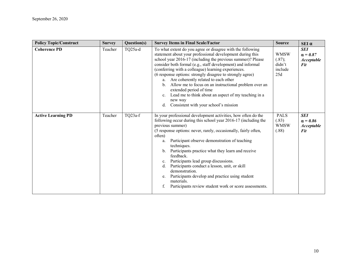| <b>Policy Topic/Construct</b> | <b>Survey</b> | Question(s) | <b>Survey Items in Final Scale/Factor</b>                                                                                                                                                                                                                                                                                                                                                                                                                                                                                                                                                                                                          | <b>Source</b>                                     | $SEI$ $\alpha$                                                   |
|-------------------------------|---------------|-------------|----------------------------------------------------------------------------------------------------------------------------------------------------------------------------------------------------------------------------------------------------------------------------------------------------------------------------------------------------------------------------------------------------------------------------------------------------------------------------------------------------------------------------------------------------------------------------------------------------------------------------------------------------|---------------------------------------------------|------------------------------------------------------------------|
| <b>Coherence PD</b>           | Teacher       | TQ25a-d     | To what extent do you agree or disagree with the following<br>statement about your professional development during this<br>school year 2016-17 (including the previous summer)? Please<br>consider both formal (e.g., staff development) and informal<br>(conferring with a colleague) learning experiences.<br>(6 response options: strongly disagree to strongly agree)<br>a. Are coherently related to each other<br>b. Allow me to focus on an instructional problem over an<br>extended period of time<br>Lead me to think about an aspect of my teaching in a<br>c.<br>new way<br>Consistent with your school's mission<br>d.                | <b>WMSW</b><br>(.87);<br>didn't<br>include<br>25d | <b>SEI</b><br>$\alpha = 0.87$<br><b>Acceptable</b><br><b>Fit</b> |
| <b>Active Learning PD</b>     | Teacher       | TQ23a-f     | In your professional development activities, how often do the<br>following occur during this school year 2016-17 (including the<br>previous summer)<br>(5 response options: never, rarely, occasionally, fairly often,<br>often)<br>Participant observe demonstration of teaching<br>a.<br>techniques.<br>Participants practice what they learn and receive<br>$\mathbf{b}$ .<br>feedback.<br>Participants lead group discussions.<br>c.<br>Participants conduct a lesson, unit, or skill<br>d.<br>demonstration.<br>Participants develop and practice using student<br>e.<br>materials.<br>Participants review student work or score assessments. | <b>PALS</b><br>(.83)<br><b>WMSW</b><br>(.88)      | <b>SEI</b><br>$\alpha = 0.86$<br><b>Acceptable</b><br><b>Fit</b> |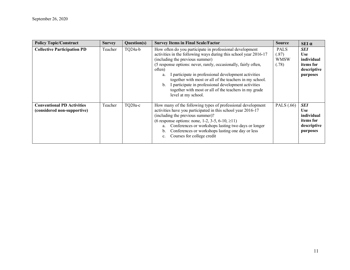| <b>Policy Topic/Construct</b>                                    | <b>Survey</b> | Question(s) | <b>Survey Items in Final Scale/Factor</b>                                                                                                                                                                                                                                                                                                                                                                                                                                                                        | <b>Source</b>                                | $SEI \alpha$                                                                   |
|------------------------------------------------------------------|---------------|-------------|------------------------------------------------------------------------------------------------------------------------------------------------------------------------------------------------------------------------------------------------------------------------------------------------------------------------------------------------------------------------------------------------------------------------------------------------------------------------------------------------------------------|----------------------------------------------|--------------------------------------------------------------------------------|
| <b>Collective Participation PD</b>                               | Teacher       | TQ24a-b     | How often do you participate in professional development<br>activities in the following ways during this school year 2016-17<br>(including the previous summer)<br>(5 response options: never, rarely, occasionally, fairly often,<br>often)<br>I participate in professional development activities<br>a.<br>together with most or all of the teachers in my school.<br>b. I participate in professional development activities<br>together with most or all of the teachers in my grade<br>level at my school. | <b>PALS</b><br>(.87)<br><b>WMSW</b><br>(.78) | <b>SEI</b><br><b>Use</b><br>individual<br>items for<br>descriptive<br>purposes |
| <b>Conventional PD Activities</b><br>(considered non-supportive) | Teacher       | TQ20a-c     | How many of the following types of professional development<br>activities have you participated in this school year 2016-17<br>(including the previous summer)?<br>(6 response options: none, 1-2, 3-5, 6-10, $\geq$ 11)<br>a. Conferences or workshops lasting two days or longer<br>b. Conferences or workshops lasting one day or less<br>Courses for college credit<br>c.                                                                                                                                    | PALS (.66)                                   | SEI<br><b>Use</b><br>individual<br>items for<br>descriptive<br>purposes        |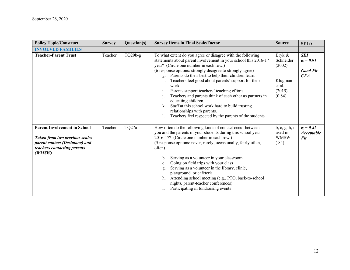| <b>Policy Topic/Construct</b>                                                                                                                          | <b>Survey</b> | Question(s) | <b>Survey Items in Final Scale/Factor</b>                                                                                                                                                                                                                                                                                                                                                                                                                                                                                                                                                                                                                       | <b>Source</b>                                                          | $SEI$ $\alpha$                                          |
|--------------------------------------------------------------------------------------------------------------------------------------------------------|---------------|-------------|-----------------------------------------------------------------------------------------------------------------------------------------------------------------------------------------------------------------------------------------------------------------------------------------------------------------------------------------------------------------------------------------------------------------------------------------------------------------------------------------------------------------------------------------------------------------------------------------------------------------------------------------------------------------|------------------------------------------------------------------------|---------------------------------------------------------|
| <b>INVOLVED FAMILIES</b>                                                                                                                               |               |             |                                                                                                                                                                                                                                                                                                                                                                                                                                                                                                                                                                                                                                                                 |                                                                        |                                                         |
| <b>Teacher-Parent Trust</b>                                                                                                                            | Teacher       | $TQ29b-g$   | To what extent do you agree or disagree with the following<br>statements about parent involvement in your school this 2016-17<br>year? (Circle one number in each row.)<br>(6 response options: strongly disagree to strongly agree)<br>g. Parents do their best to help their children learn.<br>Teachers feel good about parents' support for their<br>h.<br>work.<br>Parents support teachers' teaching efforts.<br>1.<br>Teachers and parents think of each other as partners in<br>educating children.<br>Staff at this school work hard to build trusting<br>k.<br>relationships with parents.<br>Teachers feel respected by the parents of the students. | Bryk &<br>Schneider<br>(2002)<br>Klugman<br>et al.<br>(2015)<br>(0.84) | <b>SEI</b><br>$\alpha = 0.91$<br><b>Good Fit</b><br>CFA |
| <b>Parent Involvement in School</b><br><b>Taken from two previous scales</b><br>parent contact (Desimone) and<br>teachers contacting parents<br>(WMSW) | Teacher       | TQ27a-i     | How often do the following kinds of contact occur between<br>you and the parents of your students during this school year<br>2016-17? (Circle one number in each row.)<br>(5 response options: never, rarely, occasionally, fairly often,<br>often)<br>Serving as a volunteer in your classroom<br>b.<br>Going on field trips with your class<br>$\mathbf{c}$ .<br>Serving as a volunteer in the library, clinic,<br>g.<br>playground, or cafeteria<br>Attending school meeting (e.g., PTO, back-to-school<br>h.<br>nights, parent-teacher conferences)<br>Participating in fundraising events<br>$\mathbf{1}$ .                                                | b, c, g, h, i<br>used in<br><b>WMSW</b><br>(.84)                       | $\alpha = 0.82$<br><b>Acceptable</b><br><b>Fit</b>      |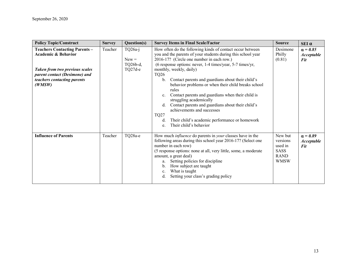| <b>Policy Topic/Construct</b>                                                                                                                                                             | <b>Survey</b> | Question(s)                                   | <b>Survey Items in Final Scale/Factor</b>                                                                                                                                                                                                                                                                                                                                                                                                                                                                                                                                                                                                                                                                    | <b>Source</b>                                                               | $SEI$ $\alpha$                                     |
|-------------------------------------------------------------------------------------------------------------------------------------------------------------------------------------------|---------------|-----------------------------------------------|--------------------------------------------------------------------------------------------------------------------------------------------------------------------------------------------------------------------------------------------------------------------------------------------------------------------------------------------------------------------------------------------------------------------------------------------------------------------------------------------------------------------------------------------------------------------------------------------------------------------------------------------------------------------------------------------------------------|-----------------------------------------------------------------------------|----------------------------------------------------|
| <b>Teachers Contacting Parents -</b><br><b>Academic &amp; Behavior</b><br><b>Taken from two previous scales</b><br>parent contact (Desimone) and<br>teachers contacting parents<br>(WMSW) | Teacher       | $TQ26a-i$<br>$New =$<br>TQ26b-d,<br>$TQ27d-e$ | How often do the following kinds of contact occur between<br>you and the parents of your students during this school year<br>2016-17? (Circle one number in each row.)<br>(6 response options: never, 1-4 times/year, 5-7 times/yr,<br>monthly, weekly, daily)<br><b>TQ26</b><br>Contact parents and guardians about their child's<br>b.<br>behavior problems or when their child breaks school<br>rules<br>Contact parents and guardians when their child is<br>$\mathbf{c}$ .<br>struggling academically<br>Contact parents and guardians about their child's<br>$d_{\cdot}$<br>achievements and successes<br>TQ27<br>Their child's academic performance or homework<br>d.<br>Their child's behavior<br>e. | Desimone<br>Philly<br>(0.81)                                                | $\alpha = 0.85$<br><b>Acceptable</b><br><b>Fit</b> |
| <b>Influence of Parents</b>                                                                                                                                                               | Teacher       | TQ28a-e                                       | How much <i>influence</i> do parents in <i>your</i> classes have in the<br>following areas during this school year 2016-17? (Select one<br>number in each row)<br>(5 response options: none at all, very little, some, a moderate<br>amount, a great deal)<br>Setting policies for discipline<br>a.<br>How subject are taught<br>b.<br>What is taught<br>c.<br>Setting your class's grading policy<br>d.                                                                                                                                                                                                                                                                                                     | New but<br>versions<br>used in<br><b>SASS</b><br><b>RAND</b><br><b>WMSW</b> | $\alpha = 0.89$<br><b>Acceptable</b><br><b>Fit</b> |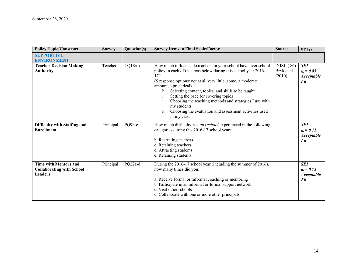| <b>Policy Topic/Construct</b>                                                      | <b>Survey</b> | Question(s) | <b>Survey Items in Final Scale/Factor</b>                                                                                                                                                                                                                                                                                                                                                                                                                                                       | <b>Source</b>                       | $SEI$ $\alpha$                                                   |
|------------------------------------------------------------------------------------|---------------|-------------|-------------------------------------------------------------------------------------------------------------------------------------------------------------------------------------------------------------------------------------------------------------------------------------------------------------------------------------------------------------------------------------------------------------------------------------------------------------------------------------------------|-------------------------------------|------------------------------------------------------------------|
| <b>SUPPORTIVE</b><br><b>ENVIRONMENT</b>                                            |               |             |                                                                                                                                                                                                                                                                                                                                                                                                                                                                                                 |                                     |                                                                  |
| <b>Teacher Decision Making</b><br><b>Authority</b>                                 | Teacher       | TQ18a-k     | How much influence do teachers in your school have over school<br>policy in each of the areas below during this school year 2016-<br>17?<br>(5 response options: not at al, very little, some, a moderate<br>amount, a great deal)<br>Selecting content, topics, and skills to be taught<br>h.<br>Setting the pace for covering topics<br>Choosing the teaching methods and strategies I use with<br>my students<br>Choosing the evaluation and assessment activities used<br>k.<br>in my class | NISL (.86)<br>Bryk et al.<br>(2010) | <b>SEI</b><br>$\alpha = 0.85$<br><b>Acceptable</b><br><b>Fit</b> |
| Difficulty with Staffing and<br><b>Enrollment</b>                                  | Principal     | PQ9b-e      | How much difficulty has this school experienced in the following<br>categories during this 2016-17 school year:<br>b. Recruiting teachers<br>c. Retaining teachers<br>d. Attracting students<br>e. Retaining students                                                                                                                                                                                                                                                                           |                                     | <b>SEI</b><br>$\alpha = 0.71$<br><b>Acceptable</b><br><b>Fit</b> |
| <b>Time with Mentors and</b><br><b>Collaborating with School</b><br><b>Leaders</b> | Principal     | PQ22a-d     | During the 2016-17 school year (including the summer of 2016),<br>how many times did you:<br>a. Receive formal or informal coaching or mentoring<br>b. Participate in an informal or formal support network<br>c. Visit other schools<br>d. Collaborate with one or more other principals                                                                                                                                                                                                       |                                     | <b>SEI</b><br>$\alpha = 0.73$<br><b>Acceptable</b><br><b>Fit</b> |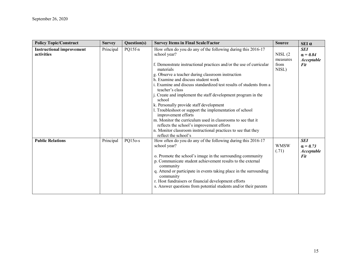| <b>Policy Topic/Construct</b>                  | <b>Survey</b> | Question(s) | <b>Survey Items in Final Scale/Factor</b>                                                                                             | <b>Source</b>        | SEI α                                              |
|------------------------------------------------|---------------|-------------|---------------------------------------------------------------------------------------------------------------------------------------|----------------------|----------------------------------------------------|
| <b>Instructional improvement</b><br>activities | Principal     | PQ15f-n     | How often do you do any of the following during this 2016-17<br>school year?                                                          | NISL(2)<br>measures  | <b>SEI</b><br>$\alpha = 0.84$<br><b>Acceptable</b> |
|                                                |               |             | f. Demonstrate instructional practices and/or the use of curricular<br>materials                                                      | from<br>NISL)        | <b>Fit</b>                                         |
|                                                |               |             | g. Observe a teacher during classroom instruction<br>h. Examine and discuss student work                                              |                      |                                                    |
|                                                |               |             | i. Examine and discuss standardized test results of students from a<br>teacher's class                                                |                      |                                                    |
|                                                |               |             | j. Create and implement the staff development program in the<br>school                                                                |                      |                                                    |
|                                                |               |             | k. Personally provide staff development<br>l. Troubleshoot or support the implementation of school                                    |                      |                                                    |
|                                                |               |             | improvement efforts<br>m. Monitor the curriculum used in classrooms to see that it                                                    |                      |                                                    |
|                                                |               |             | reflects the school's improvement efforts<br>n. Monitor classroom instructional practices to see that they                            |                      |                                                    |
|                                                |               |             | reflect the school's                                                                                                                  |                      |                                                    |
| <b>Public Relations</b>                        | Principal     | PQ150-s     | How often do you do any of the following during this 2016-17<br>school year?                                                          | <b>WMSW</b><br>(.71) | <b>SEI</b><br>$\alpha = 0.73$<br><b>Acceptable</b> |
|                                                |               |             | o. Promote the school's image in the surrounding community<br>p. Communicate student achievement results to the external<br>community |                      | <b>Fit</b>                                         |
|                                                |               |             | q. Attend or participate in events taking place in the surrounding<br>community                                                       |                      |                                                    |
|                                                |               |             | r. Host fundraisers or financial development efforts<br>s. Answer questions from potential students and/or their parents              |                      |                                                    |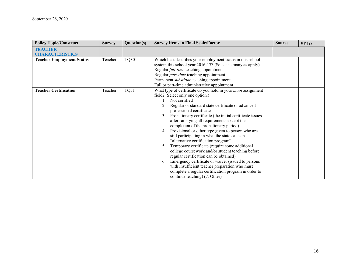| <b>Policy Topic/Construct</b>            | <b>Survey</b> | Question(s) | <b>Survey Items in Final Scale/Factor</b>                                                                                                                                                                                                                                                                                                                                                                                                                                                                                                                                                                                                                                                                                                                                                                                                                                      | <b>Source</b> | SEI a |
|------------------------------------------|---------------|-------------|--------------------------------------------------------------------------------------------------------------------------------------------------------------------------------------------------------------------------------------------------------------------------------------------------------------------------------------------------------------------------------------------------------------------------------------------------------------------------------------------------------------------------------------------------------------------------------------------------------------------------------------------------------------------------------------------------------------------------------------------------------------------------------------------------------------------------------------------------------------------------------|---------------|-------|
| <b>TEACHER</b><br><b>CHARACTERISTICS</b> |               |             |                                                                                                                                                                                                                                                                                                                                                                                                                                                                                                                                                                                                                                                                                                                                                                                                                                                                                |               |       |
| <b>Teacher Employment Status</b>         | Teacher       | TQ30        | Which best describes your employment status in this school<br>system this school year 2016-17? (Select as many as apply)<br>Regular <i>full-time</i> teaching appointment<br>Regular part-time teaching appointment<br>Permanent substitute teaching appointment<br>Full or part-time administrative appointment                                                                                                                                                                                                                                                                                                                                                                                                                                                                                                                                                               |               |       |
| <b>Teacher Certification</b>             | Teacher       | TQ31        | What type of certificate do you hold in your <i>main</i> assignment<br>field? (Select only one option.)<br>Not certified<br>2. Regular or standard state certificate or advanced<br>professional certificate<br>3. Probationary certificate (the initial certificate issues<br>after satisfying all requirements except the<br>completion of the probationary period)<br>Provisional or other type given to person who are<br>4.<br>still participating in what the state calls an<br>"alternative certification program"<br>Temporary certificate (require some additional<br>college coursework and/or student teaching before<br>regular certification can be obtained)<br>6. Emergency certificate or waiver (issued to persons<br>with insufficient teacher preparation who must<br>complete a regular certification program in order to<br>continue teaching) (7. Other) |               |       |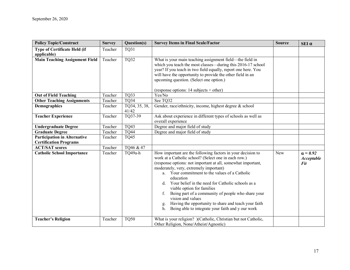| <b>Policy Topic/Construct</b>                                        | <b>Survey</b> | Question(s)            | <b>Survey Items in Final Scale/Factor</b>                                                                                                                                                                                                                                                                                                                                                                                                                                                                                                                                                                 | <b>Source</b> | $SEI$ $\alpha$                       |
|----------------------------------------------------------------------|---------------|------------------------|-----------------------------------------------------------------------------------------------------------------------------------------------------------------------------------------------------------------------------------------------------------------------------------------------------------------------------------------------------------------------------------------------------------------------------------------------------------------------------------------------------------------------------------------------------------------------------------------------------------|---------------|--------------------------------------|
| <b>Type of Certificate Held (if</b><br>applicable)                   | Teacher       | TQ31                   |                                                                                                                                                                                                                                                                                                                                                                                                                                                                                                                                                                                                           |               |                                      |
| <b>Main Teaching Assignment Field</b>                                | Teacher       | <b>TQ32</b>            | What is your main teaching assignment field—the field in<br>which you teach the most classes—during this 2016-17 school<br>year? If you teach in two field equally, report one here. You<br>will have the opportunity to provide the other field in an<br>upcoming question. (Select one option.)<br>(response options: $14$ subjects + other)                                                                                                                                                                                                                                                            |               |                                      |
| <b>Out of Field Teaching</b>                                         | Teacher       | TQ33                   | Yes/No                                                                                                                                                                                                                                                                                                                                                                                                                                                                                                                                                                                                    |               |                                      |
| <b>Other Teaching Assignments</b>                                    | Teacher       | TQ34                   | See TQ32                                                                                                                                                                                                                                                                                                                                                                                                                                                                                                                                                                                                  |               |                                      |
| Demographics                                                         | Teacher       | TQ34, 35, 38,<br>41/42 | Gender, race/ethnicity, income, highest degree $\&$ school                                                                                                                                                                                                                                                                                                                                                                                                                                                                                                                                                |               |                                      |
| <b>Teacher Experience</b>                                            | Teacher       | TQ37-39                | Ask about experience in different types of schools as well as<br>overall experience                                                                                                                                                                                                                                                                                                                                                                                                                                                                                                                       |               |                                      |
| <b>Undergraduate Degree</b>                                          | Teacher       | <b>TQ43</b>            | Degree and major field of study                                                                                                                                                                                                                                                                                                                                                                                                                                                                                                                                                                           |               |                                      |
| <b>Graduate Degree</b>                                               | Teacher       | <b>TQ44</b>            | Degree and major field of study                                                                                                                                                                                                                                                                                                                                                                                                                                                                                                                                                                           |               |                                      |
| <b>Participation in Alternative</b><br><b>Certification Programs</b> | Teacher       | <b>TQ45</b>            |                                                                                                                                                                                                                                                                                                                                                                                                                                                                                                                                                                                                           |               |                                      |
| <b>ACT/SAT scores</b>                                                | Teacher       | TQ46 & 47              |                                                                                                                                                                                                                                                                                                                                                                                                                                                                                                                                                                                                           |               |                                      |
| <b>Catholic School Importance</b>                                    | Teacher       | TQ49a-h                | How important are the following factors in your decision to<br>work at a Catholic school? (Select one in each row.)<br>(response options: not important at all, somewhat important,<br>moderately, very, extremely important)<br>a. Your commitment to the values of a Catholic<br>education<br>Your belief in the need for Catholic schools as a<br><sub>d</sub><br>viable option for families<br>Being part of a community of people who share your<br>f.<br>vision and values<br>Having the opportunity to share and teach your faith<br>g.<br>Being able to integrate your faith and y our work<br>h. | New           | $\alpha = 0.92$<br>Acceptable<br>Fit |
| <b>Teacher's Religion</b>                                            | Teacher       | TQ50                   | What is your religion? )(Catholic, Christian but not Catholic,<br>Other Religion, None/Atheist/Agnostic)                                                                                                                                                                                                                                                                                                                                                                                                                                                                                                  |               |                                      |